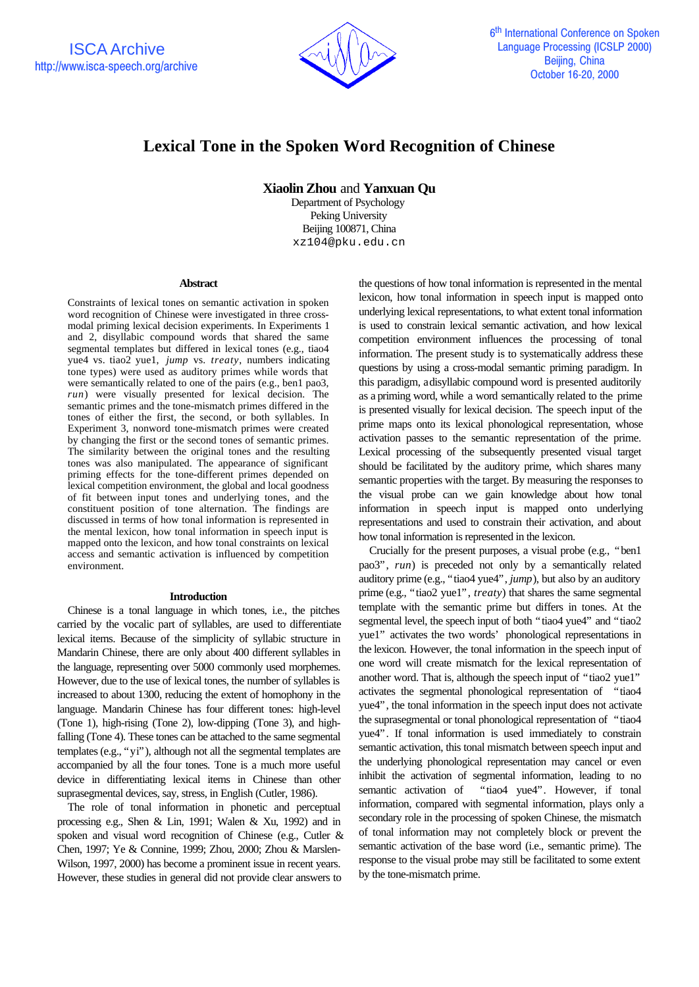

# **Lexical Tone in the Spoken Word Recognition of Chinese**

**Xiaolin Zhou** and **Yanxuan Qu**

Department of Psychology Peking University Beijing 100871, China xz104@pku.edu.cn

## **Abstract**

Constraints of lexical tones on semantic activation in spoken word recognition of Chinese were investigated in three crossmodal priming lexical decision experiments. In Experiments 1 and 2, disyllabic compound words that shared the same segmental templates but differed in lexical tones (e.g., tiao4 yue4 vs. tiao2 yue1, *jump* vs. *treaty*, numbers indicating tone types) were used as auditory primes while words that were semantically related to one of the pairs (e.g., ben1 pao3, *run*) were visually presented for lexical decision. The semantic primes and the tone-mismatch primes differed in the tones of either the first, the second, or both syllables. In Experiment 3, nonword tone-mismatch primes were created by changing the first or the second tones of semantic primes. The similarity between the original tones and the resulting tones was also manipulated. The appearance of significant priming effects for the tone-different primes depended on lexical competition environment, the global and local goodness of fit between input tones and underlying tones, and the constituent position of tone alternation. The findings are discussed in terms of how tonal information is represented in the mental lexicon, how tonal information in speech input is mapped onto the lexicon, and how tonal constraints on lexical access and semantic activation is influenced by competition environment.

## **Introduction**

Chinese is a tonal language in which tones, i.e., the pitches carried by the vocalic part of syllables, are used to differentiate lexical items. Because of the simplicity of syllabic structure in Mandarin Chinese, there are only about 400 different syllables in the language, representing over 5000 commonly used morphemes. However, due to the use of lexical tones, the number of syllables is increased to about 1300, reducing the extent of homophony in the language. Mandarin Chinese has four different tones: high-level (Tone 1), high-rising (Tone 2), low-dipping (Tone 3), and highfalling (Tone 4). These tones can be attached to the same segmental templates (e.g., "yi"), although not all the segmental templates are accompanied by all the four tones. Tone is a much more useful device in differentiating lexical items in Chinese than other suprasegmental devices, say, stress, in English (Cutler, 1986).

The role of tonal information in phonetic and perceptual processing e.g., Shen & Lin, 1991; Walen & Xu, 1992) and in spoken and visual word recognition of Chinese (e.g., Cutler & Chen, 1997; Ye & Connine, 1999; Zhou, 2000; Zhou & Marslen-Wilson, 1997, 2000) has become a prominent issue in recent years. However, these studies in general did not provide clear answers to

the questions of how tonal information is represented in the mental lexicon, how tonal information in speech input is mapped onto underlying lexical representations, to what extent tonal information is used to constrain lexical semantic activation, and how lexical competition environment influences the processing of tonal information. The present study is to systematically address these questions by using a cross-modal semantic priming paradigm. In this paradigm, a disyllabic compound word is presented auditorily as a priming word, while a word semantically related to the prime is presented visually for lexical decision. The speech input of the prime maps onto its lexical phonological representation, whose activation passes to the semantic representation of the prime. Lexical processing of the subsequently presented visual target should be facilitated by the auditory prime, which shares many semantic properties with the target. By measuring the responses to the visual probe can we gain knowledge about how tonal information in speech input is mapped onto underlying representations and used to constrain their activation, and about how tonal information is represented in the lexicon.

Crucially for the present purposes, a visual probe (e.g., "ben1 pao3", *run*) is preceded not only by a semantically related auditory prime (e.g., "tiao4 yue4", *jump*), but also by an auditory prime (e.g., "tiao2 yue1", *treaty*) that shares the same segmental template with the semantic prime but differs in tones. At the segmental level, the speech input of both "tiao4 yue4" and "tiao2 yue1" activates the two words' phonological representations in the lexicon. However, the tonal information in the speech input of one word will create mismatch for the lexical representation of another word. That is, although the speech input of "tiao2 yue1" activates the segmental phonological representation of "tiao4 yue4", the tonal information in the speech input does not activate the suprasegmental or tonal phonological representation of "tiao4 yue4". If tonal information is used immediately to constrain semantic activation, this tonal mismatch between speech input and the underlying phonological representation may cancel or even inhibit the activation of segmental information, leading to no semantic activation of "tiao4 yue4". However, if tonal information, compared with segmental information, plays only a secondary role in the processing of spoken Chinese, the mismatch of tonal information may not completely block or prevent the semantic activation of the base word (i.e., semantic prime). The response to the visual probe may still be facilitated to some extent by the tone-mismatch prime.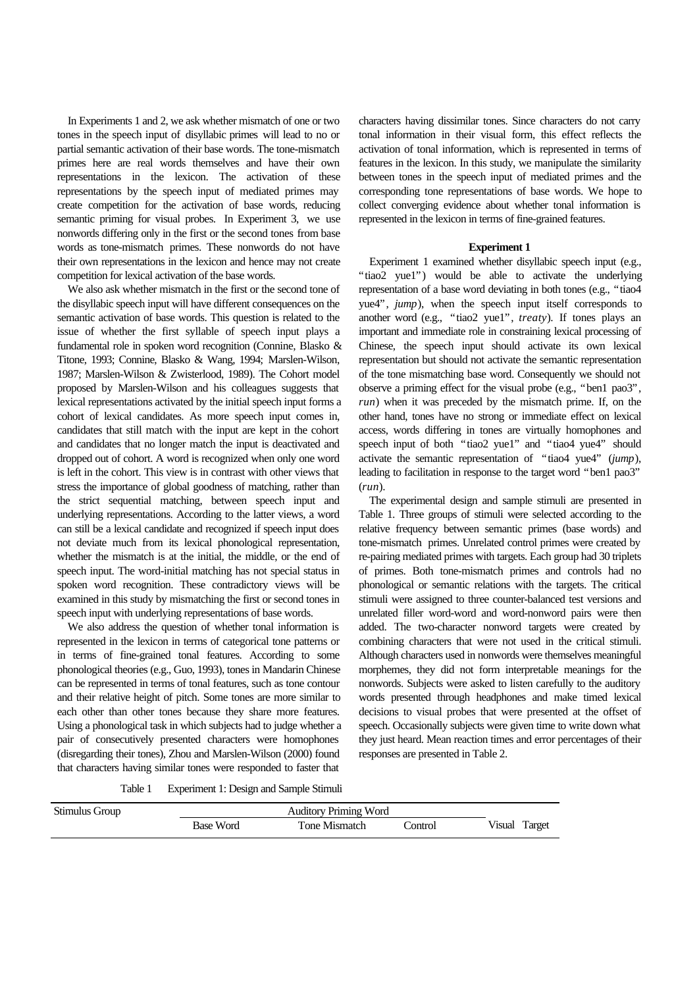In Experiments 1 and 2, we ask whether mismatch of one or two tones in the speech input of disyllabic primes will lead to no or partial semantic activation of their base words. The tone-mismatch primes here are real words themselves and have their own representations in the lexicon. The activation of these representations by the speech input of mediated primes may create competition for the activation of base words, reducing semantic priming for visual probes. In Experiment 3, we use nonwords differing only in the first or the second tones from base words as tone-mismatch primes. These nonwords do not have their own representations in the lexicon and hence may not create competition for lexical activation of the base words.

We also ask whether mismatch in the first or the second tone of the disyllabic speech input will have different consequences on the semantic activation of base words. This question is related to the issue of whether the first syllable of speech input plays a fundamental role in spoken word recognition (Connine, Blasko & Titone, 1993; Connine, Blasko & Wang, 1994; Marslen-Wilson, 1987; Marslen-Wilson & Zwisterlood, 1989). The Cohort model proposed by Marslen-Wilson and his colleagues suggests that lexical representations activated by the initial speech input forms a cohort of lexical candidates. As more speech input comes in, candidates that still match with the input are kept in the cohort and candidates that no longer match the input is deactivated and dropped out of cohort. A word is recognized when only one word is left in the cohort. This view is in contrast with other views that stress the importance of global goodness of matching, rather than the strict sequential matching, between speech input and underlying representations. According to the latter views, a word can still be a lexical candidate and recognized if speech input does not deviate much from its lexical phonological representation, whether the mismatch is at the initial, the middle, or the end of speech input. The word-initial matching has not special status in spoken word recognition. These contradictory views will be examined in this study by mismatching the first or second tones in speech input with underlying representations of base words.

We also address the question of whether tonal information is represented in the lexicon in terms of categorical tone patterns or in terms of fine-grained tonal features. According to some phonological theories (e.g., Guo, 1993), tones in Mandarin Chinese can be represented in terms of tonal features, such as tone contour and their relative height of pitch. Some tones are more similar to each other than other tones because they share more features. Using a phonological task in which subjects had to judge whether a pair of consecutively presented characters were homophones (disregarding their tones), Zhou and Marslen-Wilson (2000) found that characters having similar tones were responded to faster that

characters having dissimilar tones. Since characters do not carry tonal information in their visual form, this effect reflects the activation of tonal information, which is represented in terms of features in the lexicon. In this study, we manipulate the similarity between tones in the speech input of mediated primes and the corresponding tone representations of base words. We hope to collect converging evidence about whether tonal information is represented in the lexicon in terms of fine-grained features.

## **Experiment 1**

Experiment 1 examined whether disyllabic speech input (e.g., "tiao2 yue1") would be able to activate the underlying representation of a base word deviating in both tones (e.g., "tiao4 yue4", *jump*), when the speech input itself corresponds to another word (e.g., "tiao2 yue1", *treaty*). If tones plays an important and immediate role in constraining lexical processing of Chinese, the speech input should activate its own lexical representation but should not activate the semantic representation of the tone mismatching base word. Consequently we should not observe a priming effect for the visual probe (e.g., "ben1 pao3", *run*) when it was preceded by the mismatch prime. If, on the other hand, tones have no strong or immediate effect on lexical access, words differing in tones are virtually homophones and speech input of both "tiao2 yue1" and "tiao4 yue4" should activate the semantic representation of "tiao4 yue4" (*jump*), leading to facilitation in response to the target word "ben1 pao3" (*run*).

The experimental design and sample stimuli are presented in Table 1. Three groups of stimuli were selected according to the relative frequency between semantic primes (base words) and tone-mismatch primes. Unrelated control primes were created by re-pairing mediated primes with targets. Each group had 30 triplets of primes. Both tone-mismatch primes and controls had no phonological or semantic relations with the targets. The critical stimuli were assigned to three counter-balanced test versions and unrelated filler word-word and word-nonword pairs were then added. The two-character nonword targets were created by combining characters that were not used in the critical stimuli. Although characters used in nonwords were themselves meaningful morphemes, they did not form interpretable meanings for the nonwords. Subjects were asked to listen carefully to the auditory words presented through headphones and make timed lexical decisions to visual probes that were presented at the offset of speech. Occasionally subjects were given time to write down what they just heard. Mean reaction times and error percentages of their responses are presented in Table 2.

Table 1 Experiment 1: Design and Sample Stimuli

| Stimulus Group |                  |               |          |                  |
|----------------|------------------|---------------|----------|------------------|
|                | <b>Base Word</b> | Tone Mismatch | .`ontrol | Target<br>Visual |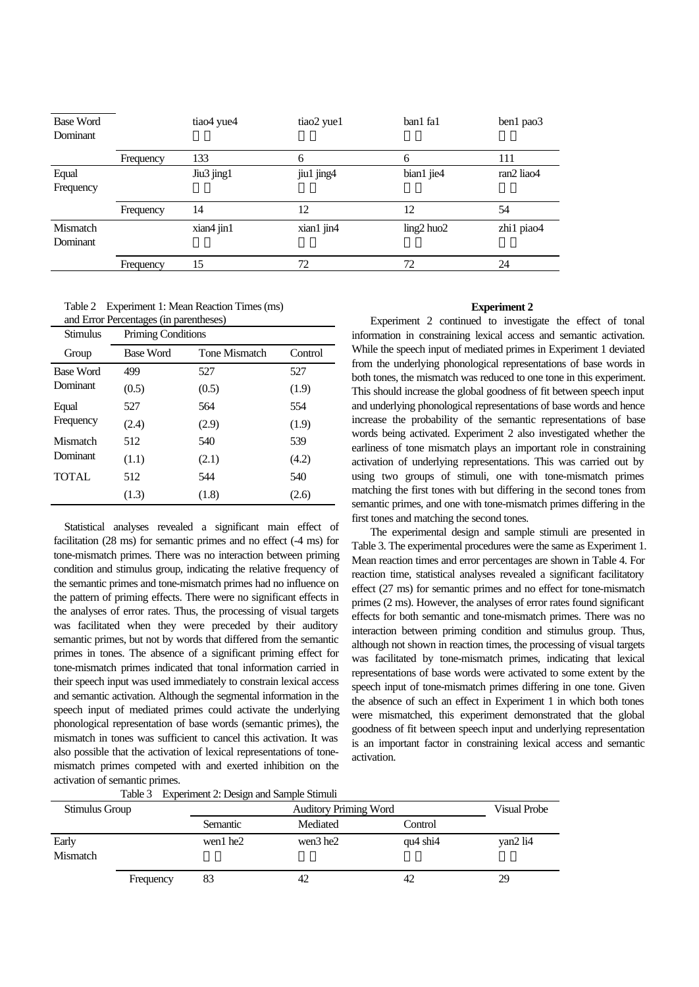| <b>Base Word</b><br>Dominant |           | tiao <sub>4</sub> yue <sub>4</sub> | tiao2 yue1 | ban1 fa1        | ben1 pao3  |
|------------------------------|-----------|------------------------------------|------------|-----------------|------------|
|                              | Frequency | 133                                | 6          | 6               | 111        |
| Equal<br>Frequency           |           | Jiu3 jing1                         | jiu1 jing4 | bian1 jie4      | ran2 liao4 |
|                              | Frequency | 14                                 | 12         | 12              | 54         |
| Mismatch<br>Dominant         |           | xian4 jin1                         | xian1 jin4 | $ling2$ huo $2$ | zhi1 piao4 |
|                              | Frequency | 15                                 | 72         | 72              | 24         |

| Table 2 Experiment 1: Mean Reaction Times (ms) |
|------------------------------------------------|
| and Error Percentages (in parentheses)         |

| Stimulus           | Priming Conditions |               |         |  |  |
|--------------------|--------------------|---------------|---------|--|--|
| Group              | <b>Base Word</b>   | Tone Mismatch | Control |  |  |
| <b>Base Word</b>   | 499                | 527           | 527     |  |  |
| Dominant           | (0.5)              | (0.5)         | (1.9)   |  |  |
| Equal<br>Frequency | 527                | 564           | 554     |  |  |
|                    | (2.4)              | (2.9)         | (1.9)   |  |  |
| Mismatch           | 512                | 540           | 539     |  |  |
| Dominant           | (1.1)              | (2.1)         | (4.2)   |  |  |
| <b>TOTAL</b>       | 512                | 544           | 540     |  |  |
|                    | (1.3)              | (1.8)         | (2.6)   |  |  |

Statistical analyses revealed a significant main effect of facilitation (28 ms) for semantic primes and no effect (-4 ms) for tone-mismatch primes. There was no interaction between priming condition and stimulus group, indicating the relative frequency of the semantic primes and tone-mismatch primes had no influence on the pattern of priming effects. There were no significant effects in the analyses of error rates. Thus, the processing of visual targets was facilitated when they were preceded by their auditory semantic primes, but not by words that differed from the semantic primes in tones. The absence of a significant priming effect for tone-mismatch primes indicated that tonal information carried in their speech input was used immediately to constrain lexical access and semantic activation. Although the segmental information in the speech input of mediated primes could activate the underlying phonological representation of base words (semantic primes), the mismatch in tones was sufficient to cancel this activation. It was also possible that the activation of lexical representations of tonemismatch primes competed with and exerted inhibition on the activation of semantic primes.

## **Experiment 2**

Experiment 2 continued to investigate the effect of tonal information in constraining lexical access and semantic activation. While the speech input of mediated primes in Experiment 1 deviated from the underlying phonological representations of base words in both tones, the mismatch was reduced to one tone in this experiment. This should increase the global goodness of fit between speech input and underlying phonological representations of base words and hence increase the probability of the semantic representations of base words being activated. Experiment 2 also investigated whether the earliness of tone mismatch plays an important role in constraining activation of underlying representations. This was carried out by using two groups of stimuli, one with tone-mismatch primes matching the first tones with but differing in the second tones from semantic primes, and one with tone-mismatch primes differing in the first tones and matching the second tones.

The experimental design and sample stimuli are presented in Table 3. The experimental procedures were the same as Experiment 1. Mean reaction times and error percentages are shown in Table 4. For reaction time, statistical analyses revealed a significant facilitatory effect (27 ms) for semantic primes and no effect for tone-mismatch primes (2 ms). However, the analyses of error rates found significant effects for both semantic and tone-mismatch primes. There was no interaction between priming condition and stimulus group. Thus, although not shown in reaction times, the processing of visual targets was facilitated by tone-mismatch primes, indicating that lexical representations of base words were activated to some extent by the speech input of tone-mismatch primes differing in one tone. Given the absence of such an effect in Experiment 1 in which both tones were mismatched, this experiment demonstrated that the global goodness of fit between speech input and underlying representation is an important factor in constraining lexical access and semantic activation.

|  | Table 3 Experiment 2: Design and Sample Stimuli |  |
|--|-------------------------------------------------|--|
|--|-------------------------------------------------|--|

| Stimulus Group    |           |          | Visual Probe |               |          |
|-------------------|-----------|----------|--------------|---------------|----------|
|                   |           | Semantic | Mediated     | Control       |          |
| Early<br>Mismatch |           | wen1 he2 | wen3 he2     | $qu4$ shi $4$ | van2 li4 |
|                   | Frequency | 83       | 42           | 42            | 29       |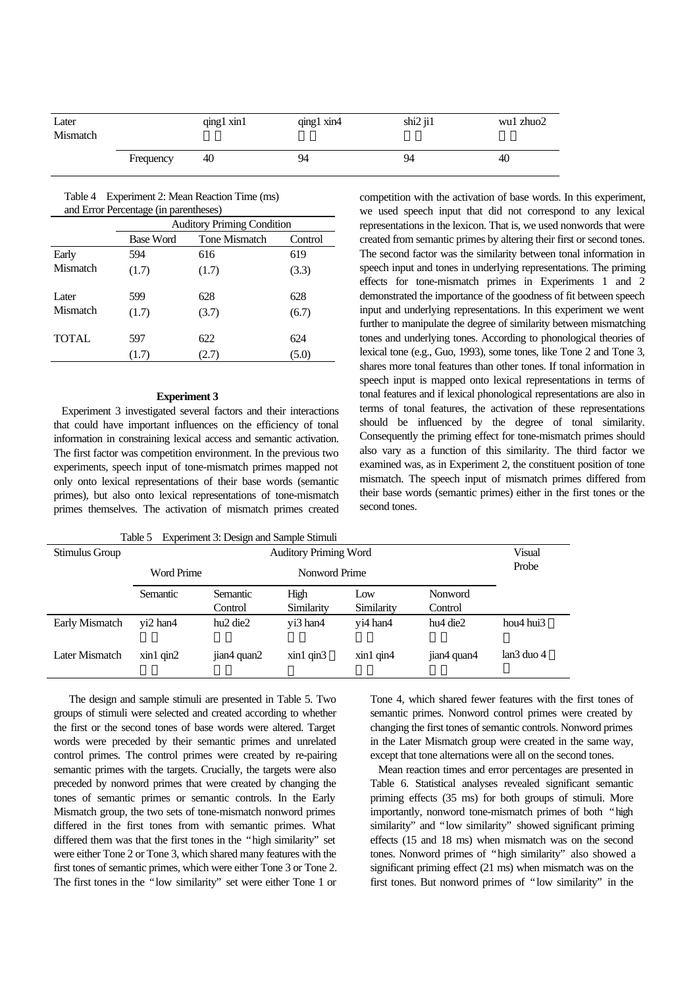| Later<br>Mismatch |           | qing1 xin1 | qing1 xin4 | $\sin 2 \pi 1$ | wu1 zhuo2 |
|-------------------|-----------|------------|------------|----------------|-----------|
|                   | Frequency | 40         | 94         | 94             | 40        |

Table 4 Experiment 2: Mean Reaction Time (ms) and Error Percentage (in parentheses)

|              | <b>Auditory Priming Condition</b> |               |         |  |  |  |
|--------------|-----------------------------------|---------------|---------|--|--|--|
|              | <b>Base Word</b>                  | Tone Mismatch | Control |  |  |  |
| Early        | 594                               | 616           | 619     |  |  |  |
| Mismatch     | (1.7)                             | (1.7)         | (3.3)   |  |  |  |
| Later        | 599                               | 628           | 628     |  |  |  |
| Mismatch     | (1.7)                             | (3.7)         | (6.7)   |  |  |  |
| <b>TOTAL</b> | 597                               | 622           | 624     |  |  |  |
|              | (1.7)                             | (2.7)         | (5.0)   |  |  |  |

## **Experiment 3**

Experiment 3 investigated several factors and their interactions that could have important influences on the efficiency of tonal information in constraining lexical access and semantic activation. The first factor was competition environment. In the previous two experiments, speech input of tone-mismatch primes mapped not only onto lexical representations of their base words (semantic primes), but also onto lexical representations of tone-mismatch primes themselves. The activation of mismatch primes created competition with the activation of base words. In this experiment, we used speech input that did not correspond to any lexical representations in the lexicon. That is, we used nonwords that were created from semantic primes by altering their first or second tones. The second factor was the similarity between tonal information in speech input and tones in underlying representations. The priming effects for tone-mismatch primes in Experiments 1 and 2 demonstrated the importance of the goodness of fit between speech input and underlying representations. In this experiment we went further to manipulate the degree of similarity between mismatching tones and underlying tones. According to phonological theories of lexical tone (e.g., Guo, 1993), some tones, like Tone 2 and Tone 3, shares more tonal features than other tones. If tonal information in speech input is mapped onto lexical representations in terms of tonal features and if lexical phonological representations are also in terms of tonal features, the activation of these representations should be influenced by the degree of tonal similarity. Consequently the priming effect for tone-mismatch primes should also vary as a function of this similarity. The third factor we examined was, as in Experiment 2, the constituent position of tone mismatch. The speech input of mismatch primes differed from their base words (semantic primes) either in the first tones or the second tones.

| Experiment 3: Design and Sample Stimuli<br>Table 5 |                              |                                  |              |              |             |                       |  |
|----------------------------------------------------|------------------------------|----------------------------------|--------------|--------------|-------------|-----------------------|--|
| Stimulus Group                                     | <b>Auditory Priming Word</b> |                                  |              |              |             |                       |  |
|                                                    | Word Prime                   | Nonword Prime                    |              |              |             |                       |  |
|                                                    | Semantic                     | <b>Semantic</b>                  | High         | Low          | Nonword     |                       |  |
|                                                    |                              | Control                          | Similarity   | Similarity   | Control     |                       |  |
| Early Mismatch                                     | vi2 han4                     | hu <sub>2</sub> die <sub>2</sub> | vi3 han4     | yi4 han4     | hu4 die2    | hou4 hui3             |  |
| Later Mismatch                                     | $x$ in1 qin2                 | jian4 quan2                      | $x$ in1 qin3 | $x$ in1 qin4 | jian4 quan4 | lan3 duo <sub>4</sub> |  |

 The design and sample stimuli are presented in Table 5. Two groups of stimuli were selected and created according to whether the first or the second tones of base words were altered. Target words were preceded by their semantic primes and unrelated control primes. The control primes were created by re-pairing semantic primes with the targets. Crucially, the targets were also preceded by nonword primes that were created by changing the tones of semantic primes or semantic controls. In the Early Mismatch group, the two sets of tone-mismatch nonword primes differed in the first tones from with semantic primes. What differed them was that the first tones in the "high similarity" set were either Tone 2 or Tone 3, which shared many features with the first tones of semantic primes, which were either Tone 3 or Tone 2. The first tones in the "low similarity" set were either Tone 1 or

Tone 4, which shared fewer features with the first tones of semantic primes. Nonword control primes were created by changing the first tones of semantic controls. Nonword primes in the Later Mismatch group were created in the same way, except that tone alternations were all on the second tones.

Mean reaction times and error percentages are presented in Table 6. Statistical analyses revealed significant semantic priming effects (35 ms) for both groups of stimuli. More importantly, nonword tone-mismatch primes of both "high similarity" and "low similarity" showed significant priming effects (15 and 18 ms) when mismatch was on the second tones. Nonword primes of "high similarity" also showed a significant priming effect (21 ms) when mismatch was on the first tones. But nonword primes of "low similarity" in the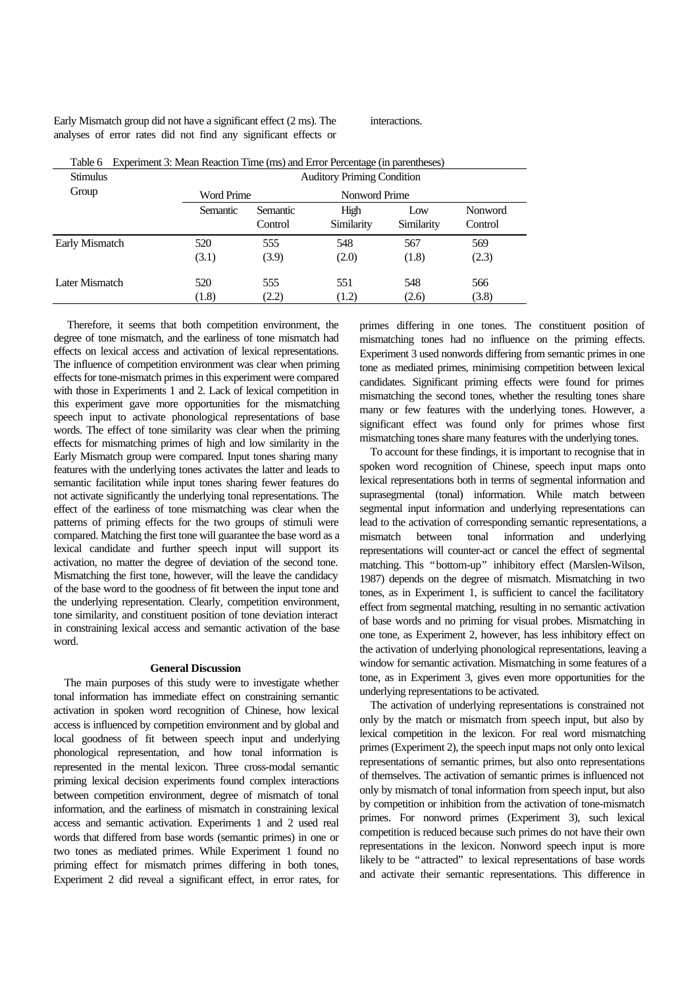Early Mismatch group did not have a significant effect (2 ms). The analyses of error rates did not find any significant effects or interactions.

| <b>Stimulus</b> | <b>Auditory Priming Condition</b> |                            |                    |                   |                           |  |  |
|-----------------|-----------------------------------|----------------------------|--------------------|-------------------|---------------------------|--|--|
| Group           | Word Prime                        |                            |                    | Nonword Prime     |                           |  |  |
|                 | Semantic                          | <b>Semantic</b><br>Control | High<br>Similarity | Low<br>Similarity | <b>Nonword</b><br>Control |  |  |
| Early Mismatch  | 520                               | 555                        | 548                | 567               | 569                       |  |  |
|                 | (3.1)                             | (3.9)                      | (2.0)              | (1.8)             | (2.3)                     |  |  |
| Later Mismatch  | 520                               | 555                        | 551                | 548               | 566                       |  |  |
|                 | (1.8)                             | (2.2)                      | (1.2)              | (2.6)             | (3.8)                     |  |  |

Table 6 Experiment 3: Mean Reaction Time (ms) and Error Percentage (in parentheses)

 Therefore, it seems that both competition environment, the degree of tone mismatch, and the earliness of tone mismatch had effects on lexical access and activation of lexical representations. The influence of competition environment was clear when priming effects for tone-mismatch primes in this experiment were compared with those in Experiments 1 and 2. Lack of lexical competition in this experiment gave more opportunities for the mismatching speech input to activate phonological representations of base words. The effect of tone similarity was clear when the priming effects for mismatching primes of high and low similarity in the Early Mismatch group were compared. Input tones sharing many features with the underlying tones activates the latter and leads to semantic facilitation while input tones sharing fewer features do not activate significantly the underlying tonal representations. The effect of the earliness of tone mismatching was clear when the patterns of priming effects for the two groups of stimuli were compared. Matching the first tone will guarantee the base word as a lexical candidate and further speech input will support its activation, no matter the degree of deviation of the second tone. Mismatching the first tone, however, will the leave the candidacy of the base word to the goodness of fit between the input tone and the underlying representation. Clearly, competition environment, tone similarity, and constituent position of tone deviation interact in constraining lexical access and semantic activation of the base word.

## **General Discussion**

The main purposes of this study were to investigate whether tonal information has immediate effect on constraining semantic activation in spoken word recognition of Chinese, how lexical access is influenced by competition environment and by global and local goodness of fit between speech input and underlying phonological representation, and how tonal information is represented in the mental lexicon. Three cross-modal semantic priming lexical decision experiments found complex interactions between competition environment, degree of mismatch of tonal information, and the earliness of mismatch in constraining lexical access and semantic activation. Experiments 1 and 2 used real words that differed from base words (semantic primes) in one or two tones as mediated primes. While Experiment 1 found no priming effect for mismatch primes differing in both tones, Experiment 2 did reveal a significant effect, in error rates, for primes differing in one tones. The constituent position of mismatching tones had no influence on the priming effects. Experiment 3 used nonwords differing from semantic primes in one tone as mediated primes, minimising competition between lexical candidates. Significant priming effects were found for primes mismatching the second tones, whether the resulting tones share many or few features with the underlying tones. However, a significant effect was found only for primes whose first mismatching tones share many features with the underlying tones.

To account for these findings, it is important to recognise that in spoken word recognition of Chinese, speech input maps onto lexical representations both in terms of segmental information and suprasegmental (tonal) information. While match between segmental input information and underlying representations can lead to the activation of corresponding semantic representations, a mismatch between tonal information and underlying representations will counter-act or cancel the effect of segmental matching. This "bottom-up" inhibitory effect (Marslen-Wilson, 1987) depends on the degree of mismatch. Mismatching in two tones, as in Experiment 1, is sufficient to cancel the facilitatory effect from segmental matching, resulting in no semantic activation of base words and no priming for visual probes. Mismatching in one tone, as Experiment 2, however, has less inhibitory effect on the activation of underlying phonological representations, leaving a window for semantic activation. Mismatching in some features of a tone, as in Experiment 3, gives even more opportunities for the underlying representations to be activated.

The activation of underlying representations is constrained not only by the match or mismatch from speech input, but also by lexical competition in the lexicon. For real word mismatching primes (Experiment 2), the speech input maps not only onto lexical representations of semantic primes, but also onto representations of themselves. The activation of semantic primes is influenced not only by mismatch of tonal information from speech input, but also by competition or inhibition from the activation of tone-mismatch primes. For nonword primes (Experiment 3), such lexical competition is reduced because such primes do not have their own representations in the lexicon. Nonword speech input is more likely to be "attracted" to lexical representations of base words and activate their semantic representations. This difference in